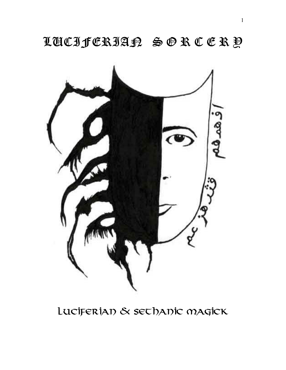LUCIFERIAN S O R C E R Y



Luciferian & Sethanic Magick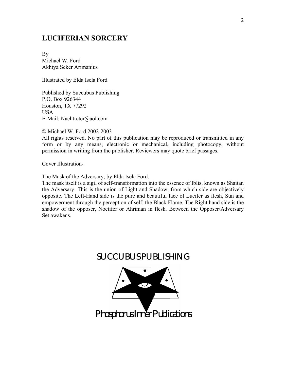### **LUCIFERIAN SORCERY**

By Michael W. Ford Akhtya Seker Arimanius

Illustrated by Elda Isela Ford

Published by Succubus Publishing P.O. Box 926344 Houston, TX 77292 USA E-Mail: Nachttoter@aol.com

© Michael W. Ford 2002-2003

All rights reserved. No part of this publication may be reproduced or transmitted in any form or by any means, electronic or mechanical, including photocopy, without permission in writing from the publisher. Reviewers may quote brief passages.

Cover Illustration-

The Mask of the Adversary, by Elda Isela Ford.

The mask itself is a sigil of self-transformation into the essence of Iblis, known as Shaitan the Adversary. This is the union of Light and Shadow, from which side are objectively opposite. The Left-Hand side is the pure and beautiful face of Lucifer as flesh, Sun and empowerment through the perception of self; the Black Flame. The Right hand side is the shadow of the opposer, Noctifer or Ahriman in flesh. Between the Opposer/Adversary Set awakens.

## SUCCUBUS PUBLISHING

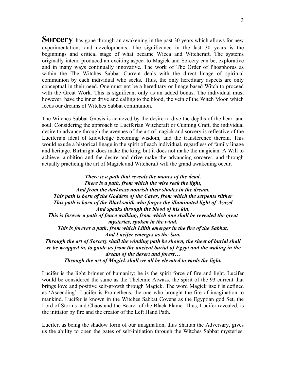**Sorcery** has gone through an awakening in the past 30 years which allows for new experimentations and developments. The significance in the last 30 years is the beginnings and critical stage of what became Wicca and Witchcraft. The systems originally intend produced an exciting aspect to Magick and Sorcery can be, explorative and in many ways continually innovative. The work of The Order of Phosphorus as within the The Witches Sabbat Current deals with the direct linage of spiritual communion by each individual who seeks. Thus, the only hereditary aspects are only conceptual in their need. One must not be a hereditary or linage based Witch to proceed with the Great Work. This is significant only as an added bonus. The individual must however, have the inner drive and calling to the blood, the vein of the Witch Moon which feeds our dreams of Witches Sabbat communion.

The Witches Sabbat Gnosis is achieved by the desire to dive the depths of the heart and soul. Considering the approach to Luciferian Witchcraft or Cunning Craft, the individual desire to advance through the avenues of the art of magick and sorcery is reflective of the Luciferian ideal of knowledge becoming wisdom, and the transference therein. This would exude a historical linage in the spirit of each individual, regardless of family linage and heritage. Birthright does make the king, but it does not make the magician. A Will to achieve, ambition and the desire and drive make the advancing sorcerer, and through actually practicing the art of Magick and Witchcraft will the grand awakening occur.

*There is a path that reveals the manes of the dead, There is a path, from which the wise seek the light, And from the darkness nourish their shades in the dream. This path is born of the Goddess of the Caves, from which the serpents slither This path is born of the Blacksmith who forges the illuminated light of Azazel And speaks through the blood of his kin, This is forever a path of fence walking, from which one shall be revealed the great mysteries, spoken in the wind. This is forever a path, from which Lilith emerges in the fire of the Sabbat, And Lucifer emerges as the Sun. Through the art of Sorcery shall the winding path be shown, the sheet of burial shall we be wrapped in, to guide us from the ancient burial of Egypt and the waking in the dream of the desert and forest…* 

*Through the art of Magick shall we all be elevated towards the light.* 

Lucifer is the light bringer of humanity; he is the spirit force of fire and light. Lucifer would be considered the same as the Thelemic Aiwass, the spirit of the 93 current that brings love and positive self-growth through Magick. The word Magick itself is defined as 'Ascending'. Lucifer is Prometheus, the one who brought the fire of imagination to mankind. Lucifer is known in the Witches Sabbat Covens as the Egyptian god Set, the Lord of Storms and Chaos and the Bearer of the Black Flame. Thus, Lucifer revealed, is the initiator by fire and the creator of the Left Hand Path.

Lucifer, as being the shadow form of our imagination, thus Shaitan the Adversary, gives us the ability to open the gates of self-initiation through the Witches Sabbat mysteries.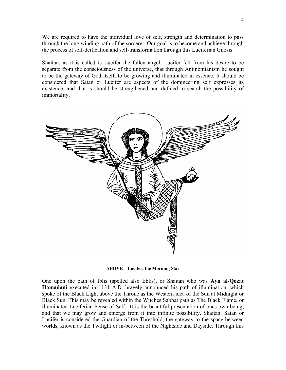We are required to have the individual love of self, strength and determination to pass through the long winding path of the sorcerer. Our goal is to become and achieve through the process of self-deification and self-transformation through this Luciferian Gnosis.

Shaitan, as it is called is Lucifer the fallen angel. Lucifer fell from his desire to be separate from the consciousness of the universe, that through Antinomianism he sought to be the gateway of God itself, to be growing and illuminated in essence. It should be considered that Satan or Lucifer are aspects of the domineering self expresses its existence, and that is should be strengthened and defined to search the possibility of immortality.



**ABOVE – Lucifer, the Morning Star** 

One upon the path of Iblis (spelled also Eblis), or Shaitan who was **Ayn al-Qozat Hamadani** executed in 1131 A.D. bravely announced his path of illumination, which spoke of the Black Light above the Throne as the Western idea of the Sun at Midnight or Black Sun. This may be revealed within the Witches Sabbat path as The Black Flame, or illuminated Luciferian Sense of Self. It is the beautiful presentation of ones own being, and that we may grow and emerge from it into infinite possibility. Shaitan, Satan or Lucifer is considered the Guardian of the Threshold, the gateway to the space between worlds, known as the Twilight or in-between of the Nightside and Dayside. Through this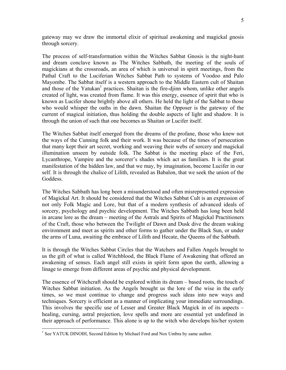gateway may we draw the immortal elixir of spiritual awakening and magickal gnosis through sorcery.

The process of self-transformation within the Witches Sabbat Gnosis is the night-hunt and dream conclave known as The Witches Sabbath, the meeting of the souls of magickians at the crossroads, an area of which is universal in spirit meetings, from the Pathal Craft to the Luciferian Witches Sabbat Path to systems of Voodoo and Palo Mayombe. The Sabbat itself is a western approach to the Middle Eastern cult of Shaitan and those of the Yatukan<sup>1</sup> practices. Shaitan is the fire-djinn whom, unlike other angels created of light, was created from flame. It was this energy, essence of spirit that who is known as Lucifer shone brightly above all others. He held the light of the Sabbat to those who would whisper the oaths in the dawn. Shaitan the Opposer is the gateway of the current of magical initiation, thus holding the double aspects of light and shadow. It is through the union of such that one becomes as Shaitan or Lucifer itself.

The Witches Sabbat itself emerged from the dreams of the profane, those who knew not the ways of the Cunning folk and their work. It was because of the times of persecution that many kept their art secret, working and weaving their webs of sorcery and magickal illumination unseen by outside folk. The Sabbat is the meeting place of the Feri, Lycanthrope, Vampire and the sorcerer's shades which act as familiars. It is the great manifestation of the hidden law, and that we may, by imagination, become Lucifer in our self. It is through the chalice of Lilith, revealed as Babalon, that we seek the union of the Goddess.

The Witches Sabbath has long been a misunderstood and often misrepresented expression of Magickal Art. It should be considered that the Witches Sabbat Cult is an expression of not only Folk Magic and Lore, but that of a modern synthesis of advanced ideals of sorcery, psychology and psychic development. The Witches Sabbath has long been held in arcane lore as the dream – meeting of the Astrals and Spirits of Magickal Practitioners of the Craft, those who between the Twilight of Dawn and Dusk dive the dream waking environment and meet as spirits and other forms to gather under the Black Sun, or under the arms of Luna, awaiting the embrace of Lilith and Hecate, the Queens of the Sabbath.

It is through the Witches Sabbat Circles that the Watchers and Fallen Angels brought to us the gift of what is called Witchblood, the Black Flame of Awakening that offered an awakening of senses. Each angel still exists in spirit form upon the earth, allowing a linage to emerge from different areas of psychic and physical development.

The essence of Witchcraft should be explored within its dream – based roots, the touch of Witches Sabbat initiation. As the Angels brought us the lore of the wise in the early times, so we must continue to change and progress such ideas into new ways and techniques. Sorcery is efficient as a manner of implicating your immediate surroundings. This involves the specific use of Lesser and Greater Black Magick in of its aspects – healing, cursing, astral projection, love spells and more are essential yet undefined in their approach of performance. This alone is up to the witch who develops his/her system

<sup>&</sup>lt;sup>1</sup> See YATUK DINOIH, Second Edition by Michael Ford and Nox Umbra by same author.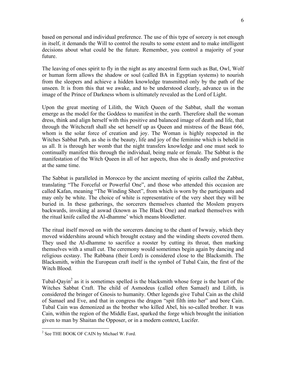based on personal and individual preference. The use of this type of sorcery is not enough in itself, it demands the Will to control the results to some extent and to make intelligent decisions about what could be the future. Remember, you control a majority of your future.

The leaving of ones spirit to fly in the night as any ancestral form such as Bat, Owl, Wolf or human form allows the shadow or soul (called BA in Egyptian systems) to nourish from the sleepers and achieve a hidden knowledge transmitted only by the path of the unseen. It is from this that we awake, and to be understood clearly, advance us in the image of the Prince of Darkness whom is ultimately revealed as the Lord of Light.

Upon the great meeting of Lilith, the Witch Queen of the Sabbat, shall the woman emerge as the model for the Goddess to manifest in the earth. Therefore shall the woman dress, think and align herself with this positive and balanced image of death and life, that through the Witchcraft shall she set herself up as Queen and mistress of the Beast 666, whom is the solar force of creation and joy. The Woman is highly respected in the Witches Sabbat Path, as she is the beauty, life and joy of the feminine which is beheld in us all. It is through her womb that the night transfers knowledge and one must seek to continually manifest this through the individual, being male or female. The Sabbat is the manifestation of the Witch Queen in all of her aspects, thus she is deadly and protective at the same time.

The Sabbat is paralleled in Morocco by the ancient meeting of spirits called the Zabbat, translating "The Forceful or Powerful One", and those who attended this occasion are called Kafan, meaning "The Winding Sheet", from which is worn by the participants and may only be white. The choice of white is representative of the very sheet they will be buried in. In these gatherings, the sorcerers themselves chanted the Moslem prayers backwards, invoking al aswad (known as The Black One) and marked themselves with the ritual knife called the Al-dhamme' which means bloodletter.

The ritual itself moved on with the sorcerers dancing to the chant of Iwwaiy, which they moved widdershins around which brought ecstasy and the winding sheets covered them. They used the Al-dhamme to sacrifice a rooster by cutting its throat, then marking themselves with a small cut. The ceremony would sometimes begin again by dancing and religious ecstasy. The Rabbana (their Lord) is considered close to the Blacksmith. The Blacksmith, within the European craft itself is the symbol of Tubal Cain, the first of the Witch Blood.

Tubal-Qayin<sup>2</sup> as it is sometimes spelled is the blacksmith whose forge is the heart of the Witches Sabbat Craft. The child of Asmodeus (called often Samael) and Lilith, is considered the bringer of Gnosis to humanity. Other legends give Tubal Cain as the child of Samael and Eve, and that in congress the dragon "spit filth into her" and bore Cain. Tubal Cain was demonized as the brother who killed Abel, his so-called brother. It was Cain, within the region of the Middle East, sparked the forge which brought the initiation given to man by Shaitan the Opposer, or in a modern context, Lucifer.

<sup>&</sup>lt;sup>2</sup> See THE BOOK OF CAIN by Michael W. Ford.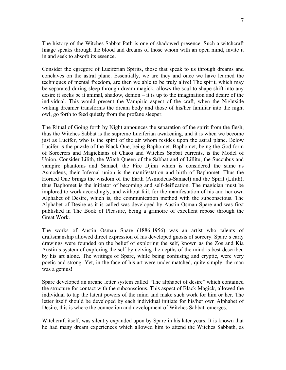The history of the Witches Sabbat Path is one of shadowed presence. Such a witchcraft linage speaks through the blood and dreams of those whom with an open mind, invite it in and seek to absorb its essence.

Consider the egregore of Luciferian Spirits, those that speak to us through dreams and conclaves on the astral plane. Essentially, we are they and once we have learned the techniques of mental freedom, are then we able to be truly alive! The spirit, which may be separated during sleep through dream magick, allows the soul to shape shift into any desire it seeks be it animal, shadow, demon – it is up to the imagination and desire of the individual. This would present the Vampiric aspect of the craft, when the Nightside waking dreamer transforms the dream body and those of his/her familiar into the night owl, go forth to feed quietly from the profane sleeper.

The Ritual of Going forth by Night announces the separation of the spirit from the flesh, thus the Witches Sabbat is the supreme Luciferian awakening, and it is when we become just as Lucifer, who is the spirit of the air whom resides upon the astral plane. Below Lucifer is the puzzle of the Black One, being Baphomet. Baphomet, being the God form of Sorcerers and Magickians of Chaos and Witches Sabbat currents, is the Model of Union. Consider Lilith, the Witch Queen of the Sabbat and of Lillitu, the Succubus and vampire phantoms and Samael, the Fire Djinn which is considered the same as Asmodeus, their Infernal union is the manifestation and birth of Baphomet. Thus the Horned One brings the wisdom of the Earth (Asmodeus-Samael) and the Spirit (Lilith), thus Baphomet is the initiator of becoming and self-deification. The magician must be implored to work accordingly, and without fail, for the manifestation of his and her own Alphabet of Desire, which is, the communication method with the subconscious. The Alphabet of Desire as it is called was developed by Austin Osman Spare and was first published in The Book of Pleasure, being a grimoire of excellent repose through the Great Work.

The works of Austin Osman Spare (1886-1956) was an artist who talents of draftsmanship allowed direct expression of his developed gnosis of sorcery. Spare's early drawings were founded on the belief of exploring the self, known as the Zos and Kia Austin's system of exploring the self by delving the depths of the mind is best described by his art alone. The writings of Spare, while being confusing and cryptic, were very poetic and strong. Yet, in the face of his art were under matched, quite simply, the man was a genius!

Spare developed an arcane letter system called "The alphabet of desire" which contained the structure for contact with the subconscious. This aspect of Black Magick, allowed the individual to tap the latent powers of the mind and make such work for him or her. The letter itself should be developed by each individual initiate for his/her own Alphabet of Desire, this is where the connection and development of Witches Sabbat emerges.

Witchcraft itself, was silently expanded upon by Spare in his later years. It is known that he had many dream experiences which allowed him to attend the Witches Sabbath, as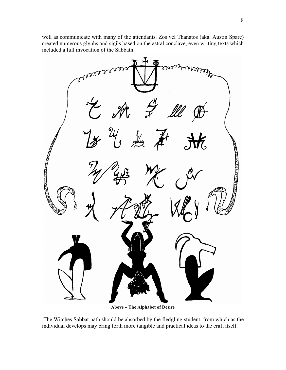well as communicate with many of the attendants. Zos vel Thanatos (aka. Austin Spare) created numerous glyphs and sigils based on the astral conclave, even writing texts which included a full invocation of the Sabbath.



**Above – The Alphabet of Desire** 

 The Witches Sabbat path should be absorbed by the fledgling student, from which as the individual develops may bring forth more tangible and practical ideas to the craft itself.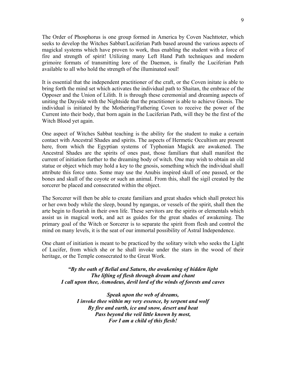The Order of Phosphorus is one group formed in America by Coven Nachttoter, which seeks to develop the Witches Sabbat/Luciferian Path based around the various aspects of magickal systems which have proven to work, thus enabling the student with a force of fire and strength of spirit! Utilizing many Left Hand Path techniques and modern grimoire formats of transmitting lore of the Daemon, is finally the Luciferian Path available to all who hold the strength of the illuminated soul!

It is essential that the independent practitioner of the craft, or the Coven initate is able to bring forth the mind set which activates the individual path to Shaitan, the embrace of the Opposer and the Union of Lilith. It is through these ceremonial and dreaming aspects of uniting the Dayside with the Nightside that the practitioner is able to achieve Gnosis. The individual is initiated by the Mothering/Fathering Coven to receive the power of the Current into their body, that born again in the Luciferian Path, will they be the first of the Witch Blood yet again.

One aspect of Witches Sabbat teaching is the ability for the student to make a certain contact with Ancestral Shades and spirits. The aspects of Hermetic Occultism are present here, from which the Egyptian systems of Typhonian Magick are awakened. The Ancestral Shades are the spirits of ones past, those familiars that shall manifest the current of initiation further to the dreaming body of witch. One may wish to obtain an old statue or object which may hold a key to the gnosis, something which the individual shall attribute this force unto. Some may use the Anubis inspired skull of one passed, or the bones and skull of the coyote or such an animal. From this, shall the sigil created by the sorcerer be placed and consecrated within the object.

The Sorcerer will then be able to create familiars and great shades which shall protect his or her own body while the sleep, bound by ngangas, or vessels of the spirit, shall then the arte begin to flourish in their own life. These servitors are the spirits or elementals which assist us in magical work, and act as guides for the great shades of awakening. The primary goal of the Witch or Sorcerer is to separate the spirit from flesh and control the mind on many levels, it is the seat of our immortal possibility of Astral Independence.

One chant of initiation is meant to be practiced by the solitary witch who seeks the Light of Lucifer, from which she or he shall invoke under the stars in the wood of their heritage, or the Temple consecrated to the Great Work.

*"By the oath of Belial and Saturn, the awakening of hidden light The lifting of flesh through dream and chant I call upon thee, Asmodeus, devil lord of the winds of forests and caves* 

*Speak upon the web of dreams, I invoke thee within my very essence, by serpent and wolf By fire and earth, ice and snow, desert and heat Pass beyond the veil little known by most, For I am a child of this flesh!*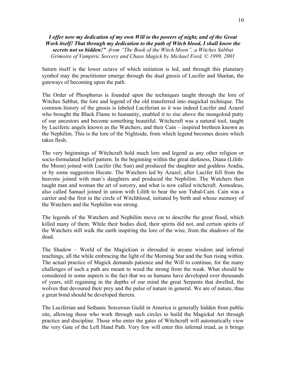#### *I offer now my dedication of my own Will to the powers of night, and of the Great Work itself! That through my dedication to the path of Witch blood, I shall know the secrets not so hidden!" -from "The Book of the Witch Moon", a Witches Sabbat Grimoire of Vampiric Sorcery and Chaos Magick by Michael Ford, © 1999, 2001*

Saturn itself is the lower octave of which initiation is led, and through this planetary symbol may the practitioner emerge through the dual gnosis of Lucifer and Shaitan, the gateways of becoming upon the path.

The Order of Phosphorus is founded upon the techniques taught through the lore of Witches Sabbat, the lore and legend of the old transferred into magickal technique. The common history of the gnosis is labeled Luciferian as it was indeed Lucifer and Azazel who brought the Black Flame to humanity, enabled it to rise above the mongoloid putty of our ancestors and become something beautiful. Witchcraft was a natural tool, taught by Luciferic angels known as the Watchers, and their Cain – inspired brethren known as the Nephilim. This is the lore of the Nightside, from which legend becomes desire which takes flesh.

The very beginnings of Witchcraft hold much lore and legend as any other religion or socio-formulated belief pattern. In the beginning within the great darkness, Diana (Liliththe Moon) joined with Lucifer (the Sun) and produced the daughter and goddess Aradia, or by some suggestion Hecate. The Watchers led by Azazel, after Lucifer fell from the heavens joined with man's daughters and produced the Nephilim. The Watchers then taught man and woman the art of sorcery, and what is now called witchcraft. Asmodeus, also called Samael joined in union with Lilith to bear the son Tubal-Cain. Cain was a carrier and the first in the circle of Witchblood, initiated by birth and whose memory of the Watchers and the Nephilim was strong.

The legends of the Watchers and Nephilim move on to describe the great flood, which killed many of them. While their bodies died, their spirits did not, and certain spirits of the Watchers still walk the earth inspiring the lore of the wise, from the shadows of the dead.

The Shadow – World of the Magickian is shrouded in arcane wisdom and infernal teachings, all the while embracing the light of the Morning Star and the Sun rising within. The actual practice of Magick demands patience and the Will to continue, for the many challenges of such a path are meant to weed the strong from the weak. What should be considered in some aspects is the fact that we as humans have developed over thousands of years, still regaining in the depths of our mind the great Serpents that dwelled, the wolves that devoured their prey and the pulse of nature in general. We are of nature, thus a great bond should be developed therein.

The Luciferian and Sethanic Sorcerous Guild in America is generally hidden from public site, allowing those who work through such circles to build the Magickal Art through practice and discipline. Those who enter the gates of Witchcraft will automatically view the very Gate of the Left Hand Path. Very few will enter this infernal tread, as it brings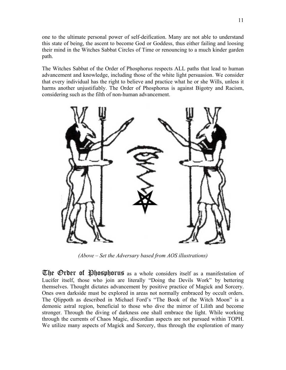one to the ultimate personal power of self-deification. Many are not able to understand this state of being, the ascent to become God or Goddess, thus either failing and loosing their mind in the Witches Sabbat Circles of Time or renouncing to a much kinder garden path.

The Witches Sabbat of the Order of Phosphorus respects ALL paths that lead to human advancement and knowledge, including those of the white light persuasion. We consider that every individual has the right to believe and practice what he or she Wills, unless it harms another unjustifiably. The Order of Phosphorus is against Bigotry and Racism, considering such as the filth of non-human advancement.



*(Above – Set the Adversary based from AOS illustrations)* 

The Order of Phosphorus as a whole considers itself as a manifestation of Lucifer itself, those who join are literally "Doing the Devils Work" by bettering themselves. Thought dictates advancement by positive practice of Magick and Sorcery. Ones own darkside must be explored in areas not normally embraced by occult orders. The Qlippoth as described in Michael Ford's "The Book of the Witch Moon" is a demonic astral region, beneficial to those who dive the mirror of Lilith and become stronger. Through the diving of darkness one shall embrace the light. While working through the currents of Chaos Magic, discordian aspects are not pursued within TOPH. We utilize many aspects of Magick and Sorcery, thus through the exploration of many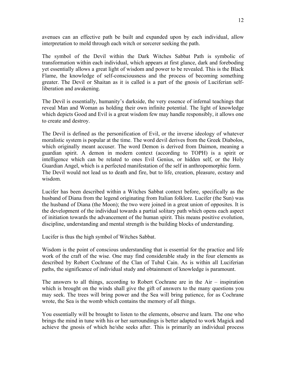avenues can an effective path be built and expanded upon by each individual, allow interpretation to mold through each witch or sorcerer seeking the path.

The symbol of the Devil within the Dark Witches Sabbat Path is symbolic of transformation within each individual, which appears at first glance, dark and foreboding yet essentially allows a great light of wisdom and power to be revealed. This is the Black Flame, the knowledge of self-consciousness and the process of becoming something greater. The Devil or Shaitan as it is called is a part of the gnosis of Luciferian selfliberation and awakening.

The Devil is essentially, humanity's darkside, the very essence of infernal teachings that reveal Man and Woman as holding their own infinite potential. The light of knowledge which depicts Good and Evil is a great wisdom few may handle responsibly, it allows one to create and destroy.

The Devil is defined as the personification of Evil, or the inverse ideology of whatever moralistic system is popular at the time. The word devil derives from the Greek Diabolos, which originally meant accuser. The word Demon is derived from Daimon, meaning a guardian spirit. A demon in modern context (according to TOPH) is a spirit or intelligence which can be related to ones Evil Genius, or hidden self, or the Holy Guardian Angel, which is a perfected manifestation of the self in anthropomorphic form. The Devil would not lead us to death and fire, but to life, creation, pleasure, ecstasy and wisdom.

Lucifer has been described within a Witches Sabbat context before, specifically as the husband of Diana from the legend originating from Italian folklore. Lucifer (the Sun) was the husband of Diana (the Moon); the two were joined in a great union of opposites. It is the development of the individual towards a partial solitary path which opens each aspect of initiation towards the advancement of the human spirit. This means positive evolution, discipline, understanding and mental strength is the building blocks of understanding.

Lucifer is thus the high symbol of Witches Sabbat.

Wisdom is the point of conscious understanding that is essential for the practice and life work of the craft of the wise. One may find considerable study in the four elements as described by Robert Cochrane of the Clan of Tubal Cain. As is within all Luciferian paths, the significance of individual study and obtainment of knowledge is paramount.

The answers to all things, according to Robert Cochrane are in the Air – inspiration which is brought on the winds shall give the gift of answers to the many questions you may seek. The trees will bring power and the Sea will bring patience, for as Cochrane wrote, the Sea is the womb which contains the memory of all things.

You essentially will be brought to listen to the elements, observe and learn. The one who brings the mind in tune with his or her surroundings is better adapted to work Magick and achieve the gnosis of which he/she seeks after. This is primarily an individual process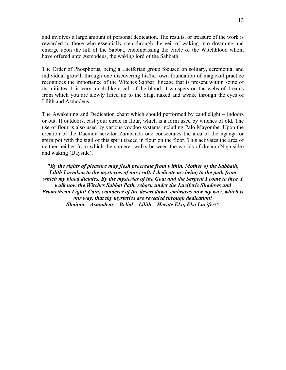and involves a large amount of personal dedication. The results, or treasure of the work is rewarded to those who essentially step through the veil of waking into dreaming and emerge upon the hill of the Sabbat, encompassing the circle of the Witchblood whom have offered unto Asmodeus, the waking lord of the Sabbath.

The Order of Phosphorus, being a Luciferian group focused on solitary, ceremonial and individual growth through one discovering his/her own foundation of magickal practice recognizes the importance of the Witches Sabbat lineage that is present within some of its initiates. It is very much like a call of the blood, it whispers on the webs of dreams from which you are slowly lifted up to the Stag, naked and awake through the eyes of Lilith and Asmodeus.

The Awakening and Dedication chant which should performed by candlelight – indoors or out. If outdoors, cast your circle in flour, which is a form used by witches of old. The use of flour is also used by various voodoo systems including Palo Mayombe. Upon the creation of the Daemon servitor Zarabanda one consecrates the area of the nganga or spirit pot with the sigil of this spirit traced in flour on the floor. This activates the area of neither-neither from which the sorcerer walks between the worlds of dream (Nightside) and waking (Dayside).

*"By the rights of pleasure may flesh procreate from within. Mother of the Sabbath, Lilith I awaken to the mysteries of our craft. I dedicate my being to the path from which my blood dictates. By the mysteries of the Goat and the Serpent I come to thee. I walk now the Witches Sabbat Path, reborn under the Luciferic Shadows and Promethean Light! Cain, wanderer of the desert dawn, embraces now my way, which is our way, that thy mysteries are revealed through dedication! Shaitan – Asmodeus – Belial – Lilith – Hecate Eko, Eko Lucifer!"*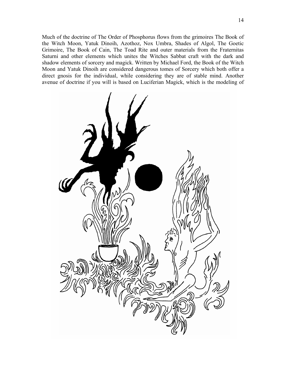Much of the doctrine of The Order of Phosphorus flows from the grimoires The Book of the Witch Moon, Yatuk Dinoih, Azothoz, Nox Umbra, Shades of Algol, The Goetic Grimoire, The Book of Cain, The Toad Rite and outer materials from the Fraternitas Saturni and other elements which unites the Witches Sabbat craft with the dark and shadow elements of sorcery and magick. Written by Michael Ford, the Book of the Witch Moon and Yatuk Dinoih are considered dangerous tomes of Sorcery which both offer a direct gnosis for the individual, while considering they are of stable mind. Another avenue of doctrine if you will is based on Luciferian Magick, which is the modeling of

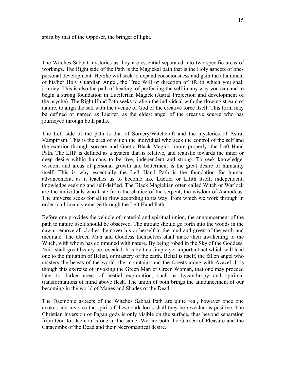spirit by that of the Opposer, the bringer of light.

The Witches Sabbat mysteries as they are essential separated into two specific areas of workings. The Right side of the Path is the Magickal path that is the Holy aspects of ones personal development. He/She will seek to expand consciousness and gain the attainment of his/her Holy Guardian Angel, the True Will or direction of life in which you shall journey. This is also the path of healing, of perfecting the self in any way you can and to begin a strong foundation in Luciferian Magick (Astral Projection and development of the psyche). The Right Hand Path seeks to align the individual with the flowing stream of nature, to align the self with the avenue of God or the creative force itself. This form may be defined or named as Lucifer, as the eldest angel of the creative source who has journeyed through both paths.

The Left side of the path is that of Sorcery/Witchcraft and the mysteries of Astral Vampirism. This is the area of which the individual who seek the control of the self and the exterior through sorcery and Goetic Black Magick, more properly, the Left Hand Path. The LHP is defined as a system that is relative, and realistic towards the inner or deep desire within humans to be free, independent and strong. To seek knowledge, wisdom and areas of personal growth and betterment is the great desire of humanity itself. This is why essentially the Left Hand Path is the foundation for human advancement, as it teaches us to become like Lucifer or Lilith itself, independent, knowledge seeking and self-deified. The Black Magickian often called Witch or Warlock are the individuals who taste from the chalice of the serpent, the wisdom of Asmodeus. The universe seeks for all to flow according to its way, from which we work through in order to ultimately emerge through the Left Hand Path.

Before one provides the vehicle of material and spiritual union, the announcement of the path to nature itself should be observed. The initiate should go forth into the woods in the dawn, remove all clothes the cover his or herself in the mud and green of the earth and meditate. The Green Man and Goddess themselves shall make their awakening to the Witch, with whom has communed with nature. By being robed in the Sky of the Goddess, Nuit, shall great beauty be revealed. It is by this simple yet important act which will lead one to the initiation of Belial, or mastery of the earth. Belial is itself, the fallen angel who masters the beasts of the world, the mountains and the forests along with Azazel. It is though this exercise of invoking the Green Man or Green Woman, that one may proceed later to darker areas of bestial exploration, such as Lycanthropy and spiritual transformations of mind above flesh. The union of both brings the announcement of our becoming in the world of Manes and Shades of the Dead.

The Daemonic aspects of the Witches Sabbat Path are quite real, however once one evokes and invokes the spirit of these dark lords shall they be revealed as positive. The Christian inversion of Pagan gods is only visible on the surface, thus beyond separation from God to Daemon is one in the same. We are both the Garden of Pleasure and the Catacombs of the Dead and their Necromantical desire.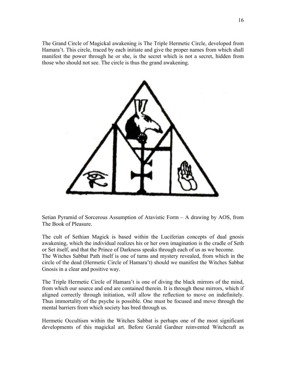The Grand Circle of Magickal awakening is The Triple Hermetic Circle, developed from Hamara't. This circle, traced by each initiate and give the proper names from which shall manifest the power through he or she, is the secret which is not a secret, hidden from those who should not see. The circle is thus the grand awakening.



Setian Pyramid of Sorcerous Assumption of Atavistic Form – A drawing by AOS, from The Book of Pleasure.

The cult of Sethian Magick is based within the Luciferian concepts of dual gnosis awakening, which the individual realizes his or her own imagination is the cradle of Seth or Set itself, and that the Prince of Darkness speaks through each of us as we become. The Witches Sabbat Path itself is one of turns and mystery revealed, from which in the circle of the dead (Hermetic Circle of Hamara't) should we manifest the Witches Sabbat Gnosis in a clear and positive way.

The Triple Hermetic Circle of Hamara't is one of diving the black mirrors of the mind, from which our source and end are contained therein. It is through these mirrors, which if aligned correctly through initiation, will allow the reflection to move on indefinitely. Thus immortality of the psyche is possible. One must be focused and move through the mental barriers from which society has bred through us.

Hermetic Occultism within the Witches Sabbat is perhaps one of the most significant developments of this magickal art. Before Gerald Gardner reinvented Witchcraft as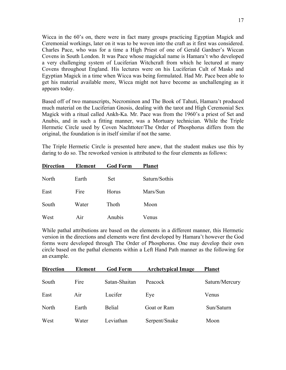Wicca in the 60's on, there were in fact many groups practicing Egyptian Magick and Ceremonial workings, later on it was to be woven into the craft as it first was considered. Charles Pace, who was for a time a High Priest of one of Gerald Gardner's Wiccan Covens in South London. It was Pace whose magickal name is Hamara't who developed a very challenging system of Luciferian Witchcraft from which he lectured at many Covens throughout England. His lectures were on his Luciferian Cult of Masks and Egyptian Magick in a time when Wicca was being formulated. Had Mr. Pace been able to get his material available more, Wicca might not have become as unchallenging as it appears today.

Based off of two manuscripts, Necrominon and The Book of Tahuti, Hamara't produced much material on the Luciferian Gnosis, dealing with the tarot and High Ceremonial Sex Magick with a ritual called Ankh-Ka. Mr. Pace was from the 1960's a priest of Set and Anubis, and in such a fitting manner, was a Mortuary technician. While the Triple Hermetic Circle used by Coven Nachttoter/The Order of Phosphorus differs from the original, the foundation is in itself similar if not the same.

The Triple Hermetic Circle is presented here anew, that the student makes use this by daring to do so. The reworked version is attributed to the four elements as follows:

| <b>Direction</b> | <b>Element</b> | <b>God Form</b> | <b>Planet</b> |
|------------------|----------------|-----------------|---------------|
| North            | Earth          | <b>Set</b>      | Saturn/Sothis |
| East             | Fire           | Horus           | Mars/Sun      |
| South            | Water          | Thoth           | Moon          |
| West             | Air            | Anubis          | Venus         |

While pathal attributions are based on the elements in a different manner, this Hermetic version in the directions and elements were first developed by Hamara't however the God forms were developed through The Order of Phosphorus. One may develop their own circle based on the pathal elements within a Left Hand Path manner as the following for an example.

| <b>Direction</b> | <b>Element</b> | <b>God Form</b> | <b>Archetypical Image</b> | <b>Planet</b>  |
|------------------|----------------|-----------------|---------------------------|----------------|
| South            | Fire           | Satan-Shaitan   | Peacock                   | Saturn/Mercury |
| East             | Air            | Lucifer         | Eye                       | Venus          |
| North            | Earth          | <b>Belial</b>   | Goat or Ram               | Sun/Saturn     |
| West             | Water          | Leviathan       | Serpent/Snake             | Moon           |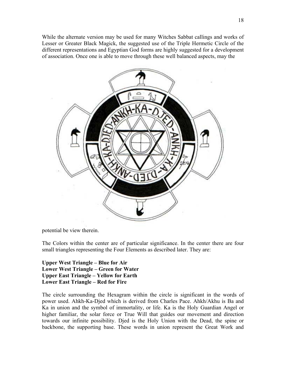While the alternate version may be used for many Witches Sabbat callings and works of Lesser or Greater Black Magick, the suggested use of the Triple Hermetic Circle of the different representations and Egyptian God forms are highly suggested for a development of association. Once one is able to move through these well balanced aspects, may the



potential be view therein.

The Colors within the center are of particular significance. In the center there are four small triangles representing the Four Elements as described later. They are:

**Upper West Triangle – Blue for Air Lower West Triangle – Green for Water Upper East Triangle – Yellow for Earth Lower East Triangle – Red for Fire** 

The circle surrounding the Hexagram within the circle is significant in the words of power used. Ahkh-Ka-Djed which is derived from Charles Pace. Ahkh/Akhu is Ba and Ka in union and the symbol of immortality, or life. Ka is the Holy Guardian Angel or higher familiar, the solar force or True Will that guides our movement and direction towards our infinite possibility. Djed is the Holy Union with the Dead, the spine or backbone, the supporting base. These words in union represent the Great Work and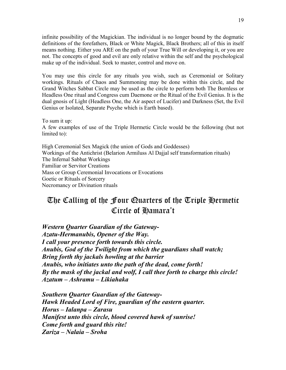infinite possibility of the Magickian. The individual is no longer bound by the dogmatic definitions of the forefathers, Black or White Magick, Black Brothers; all of this in itself means nothing. Either you ARE on the path of your True Will or developing it, or you are not. The concepts of good and evil are only relative within the self and the psychological make up of the individual. Seek to master, control and move on.

You may use this circle for any rituals you wish, such as Ceremonial or Solitary workings. Rituals of Chaos and Summoning may be done within this circle, and the Grand Witches Sabbat Circle may be used as the circle to perform both The Bornless or Headless One ritual and Congress cum Daemone or the Ritual of the Evil Genius. It is the dual gnosis of Light (Headless One, the Air aspect of Lucifer) and Darkness (Set, the Evil Genius or Isolated, Separate Psyche which is Earth based).

To sum it up: A few examples of use of the Triple Hermetic Circle would be the following (but not limited to):

High Ceremonial Sex Magick (the union of Gods and Goddesses) Workings of the Antichrist (Belarion Armiluss Al Dajjal self transformation rituals) The Infernal Sabbat Workings Familiar or Servitor Creations Mass or Group Ceremonial Invocations or Evocations Goetic or Rituals of Sorcery Necromancy or Divination rituals

# The Calling of the Four Quarters of the Triple Hermetic Circle of Hamara't

*Western Quarter Guardian of the Gateway-Azatu-Hermanubis, Opener of the Way. I call your presence forth towards this circle. Anubis, God of the Twilight from which the guardians shall watch; Bring forth thy jackals howling at the barrier Anubis, who initiates unto the path of the dead, come forth! By the mask of the jackal and wolf, I call thee forth to charge this circle! Azatum – Ashramu – Likiahaka* 

*Southern Quarter Guardian of the Gateway-Hawk Headed Lord of Fire, guardian of the eastern quarter. Horus – Ialanpa – Zarasu Manifest unto this circle, blood covered hawk of sunrise! Come forth and guard this rite! Zariza – Nalaia – Sroha*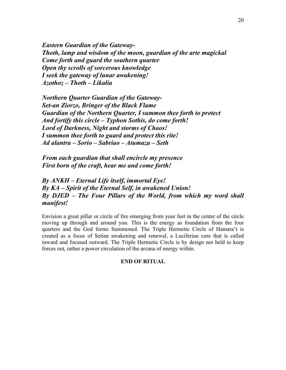*Eastern Guardian of the Gateway-Thoth, lamp and wisdom of the moon, guardian of the arte magickal Come forth and guard the southern quarter Open thy scrolls of sorcerous knowledge I seek the gateway of lunar awakening! Azothoz – Thoth – Likalia* 

*Northern Quarter Guardian of the Gateway-Set-an Ziorzo, Bringer of the Black Flame Guardian of the Northern Quarter, I summon thee forth to protect And fortify this circle – Typhon Sothis, do come forth! Lord of Darkness, Night and storms of Chaos! I summon thee forth to guard and protect this rite! Ad alantra – Sorio – Sabriao – Atumaza – Seth* 

*From each guardian that shall encircle my presence First born of the craft, hear me and come forth!* 

*By ANKH – Eternal Life itself, immortal Eye! By KA – Spirit of the Eternal Self, in awakened Union! By DJED – The Four Pillars of the World, from which my word shall manifest!* 

Envision a great pillar or circle of fire emerging from your feet in the center of the circle moving up through and around you. This is the energy as foundation from the four quarters and the God forms Summoned. The Triple Hermetic Circle of Hamara't is created as a focus of Setian awakening and renewal, a Luciferian core that is called inward and focused outward. The Triple Hermetic Circle is by design not held to keep forces out, rather a power circulation of the arcana of energy within.

#### **END OF RITUAL**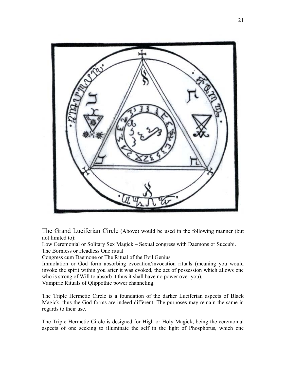

The Grand Luciferian Circle (Above) would be used in the following manner (but not limited to):

Low Ceremonial or Solitary Sex Magick – Sexual congress with Daemons or Succubi. The Bornless or Headless One ritual

Congress cum Daemone or The Ritual of the Evil Genius

Immolation or God form absorbing evocation/invocation rituals (meaning you would invoke the spirit within you after it was evoked, the act of possession which allows one who is strong of Will to absorb it thus it shall have no power over you).

Vampiric Rituals of Qlippothic power channeling.

The Triple Hermetic Circle is a foundation of the darker Luciferian aspects of Black Magick, thus the God forms are indeed different. The purposes may remain the same in regards to their use.

The Triple Hermetic Circle is designed for High or Holy Magick, being the ceremonial aspects of one seeking to illuminate the self in the light of Phosphorus, which one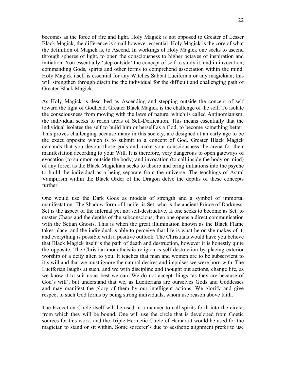becomes as the force of fire and light. Holy Magick is not opposed to Greater of Lesser Black Magick, the difference is small however essential. Holy Magick is the core of what the definition of Magick is, to Ascend. In workings of Holy Magick one seeks to ascend through spheres of light, to open the consciousness to higher octaves of inspiration and initiation. You essentially 'step outside' the concept of self to study it, and in invocation, commanding Gods, spirits and other forms to comprehend association within the mind. Holy Magick itself is essential for any Witches Sabbat Luciferian or any magickian; this will strengthen through discipline the individual for the difficult and challenging path of Greater Black Magick.

As Holy Magick is described as Ascending and stepping outside the concept of self toward the light of Godhead, Greater Black Magick is the challenge of the self. To isolate the consciousness from moving with the laws of nature, which is called Antinomianism, the individual seeks to reach areas of Self-Deification. This means essentially that the individual isolates the self to build him or herself as a God, to become something better. This proves challenging because many in this society, are designed at an early age to be the exact opposite which is to submit to a concept of God. Greater Black Magick demands that you devour those gods and make your consciousness the arena for their manifestation according to your Will. It is therefore, very dangerous to open gateways of evocation (to summon outside the body) and invocation (to call inside the body or mind) of any force, as the Black Magickian seeks to absorb and bring initiations into the psyche to build the individual as a being separate from the universe. The teachings of Astral Vampirism within the Black Order of the Dragon delve the depths of these concepts further.

One would use the Dark Gods as models of strength and a symbol of immortal manifestation. The Shadow form of Lucifer is Set, who is the ancient Prince of Darkness. Set is the aspect of the infernal yet not self-destructive. If one seeks to become as Set, to master Chaos and the depths of the subconscious, then one opens a direct communication with the Setian Gnosis. This is when the great illumination known as the Black Flame takes place, and the individual is able to perceive that life is what he or she makes of it, and everything is possible with a positive outlook. The Christians would have you believe that Black Magick itself is the path of death and destruction, however it is honestly quite the opposite. The Christian monotheistic religion is self-destruction by placing exterior worship of a deity alien to you. It teaches that man and women are to be subservient to it's will and that we must ignore the natural desires and impulses we were born with. The Luciferian laughs at such, and we with discipline and thought out actions, change life, as we know it to suit us as best we can. We do not accept things 'as they are because of God's will', but understand that we, as Luciferians are ourselves Gods and Goddesses and may manifest the glory of them by our intelligent actions. We glorify and give respect to such God forms by being strong individuals, whom use reason above faith.

The Evocation Circle itself will be used in a manner to call spirits forth into the circle, from which they will be bound. One will use the circle that is developed from Goetic sources for this work, and the Triple Hermetic Circle of Hamara't would be used for the magician to stand or sit within. Some sorcerer's due to aesthetic alignment prefer to use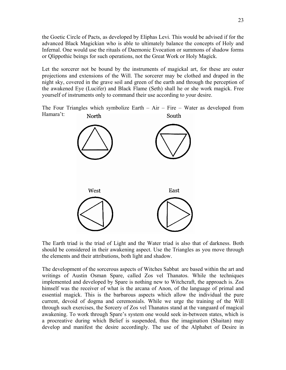the Goetic Circle of Pacts, as developed by Eliphas Levi. This would be advised if for the advanced Black Magickian who is able to ultimately balance the concepts of Holy and Infernal. One would use the rituals of Daemonic Evocation or summons of shadow forms or Qlippothic beings for such operations, not the Great Work or Holy Magick.

Let the sorcerer not be bound by the instruments of magickal art, for these are outer projections and extensions of the Will. The sorcerer may be clothed and draped in the night sky, covered in the grave soil and green of the earth and through the perception of the awakened Eye (Lucifer) and Black Flame (Seth) shall he or she work magick. Free yourself of instruments only to command their use according to your desire.

The Four Triangles which symbolize Earth  $-$  Air  $-$  Fire  $-$  Water as developed from Hamara't: North South



The Earth triad is the triad of Light and the Water triad is also that of darkness. Both should be considered in their awakening aspect. Use the Triangles as you move through the elements and their attributions, both light and shadow.

The development of the sorcerous aspects of Witches Sabbat are based within the art and writings of Austin Osman Spare, called Zos vel Thanatos. While the techniques implemented and developed by Spare is nothing new to Witchcraft, the approach is. Zos himself was the receiver of what is the arcana of Anon, of the language of primal and essential magick. This is the barbarous aspects which allow the individual the pure current, devoid of dogma and ceremonials. While we urge the training of the Will through such exercises, the Sorcery of Zos vel Thanatos stand at the vanguard of magical awakening. To work through Spare's system one would seek in-between states, which is a procreative during which Belief is suspended, thus the imagination (Shaitan) may develop and manifest the desire accordingly. The use of the Alphabet of Desire in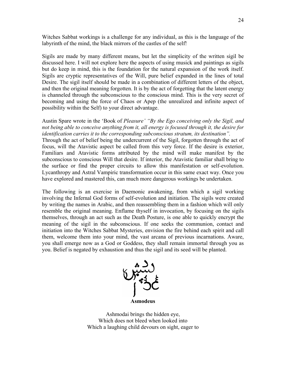Witches Sabbat workings is a challenge for any individual, as this is the language of the labyrinth of the mind, the black mirrors of the castles of the self!

Sigils are made by many different means, but let the simplicity of the written sigil be discussed here. I will not explore here the aspects of using musick and paintings as sigils but do keep in mind, this is the foundation for the natural expansion of the work itself. Sigils are cryptic representatives of the Will, pure belief expanded in the lines of total Desire. The sigil itself should be made in a combination of different letters of the object, and then the original meaning forgotten. It is by the act of forgetting that the latent energy is channeled through the subconscious to the conscious mind. This is the very secret of becoming and using the force of Chaos or Apep (the unrealized and infinite aspect of possibility within the Self) to your direct advantage.

Austin Spare wrote in the 'Book of *Pleasure' "By the Ego conceiving only the Sigil, and not being able to conceive anything from it, all energy is focused through it, the desire for identification carries it to the corresponding subconscious stratum, its destination".*  Through the act of belief being the undercurrent of the Sigil, forgotten through the act of focus, will the Atavistic aspect be called from this very force. If the desire is exterior, Familiars and Atavistic forms attributed by the mind will make manifest by the subconscious to conscious Will that desire. If interior, the Atavistic familiar shall bring to the surface or find the proper circuits to allow this manifestation or self-evolution. Lycanthropy and Astral Vampiric transformation occur in this same exact way. Once you have explored and mastered this, can much more dangerous workings be undertaken.

The following is an exercise in Daemonic awakening, from which a sigil working involving the Infernal God forms of self-evolution and initiation. The sigils were created by writing the names in Arabic, and then reassembling them in a fashion which will only resemble the original meaning. Enflame thyself in invocation, by focusing on the sigils themselves, through an act such as the Death Posture, is one able to quickly encrypt the meaning of the sigil in the subconscious. If one seeks the communion, contact and initiation into the Witches Sabbat Mysteries, envision the fire behind each spirit and call them, welcome them into your mind, the vast arcana of previous incarnations. Aware, you shall emerge now as a God or Goddess, they shall remain immortal through you as you. Belief is negated by exhaustion and thus the sigil and its seed will be planted.



Ashmodai brings the hidden eye, Which does not bleed when looked into Which a laughing child devours on sight, eager to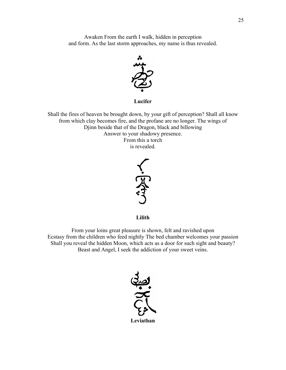Awaken From the earth I walk, hidden in perception and form. As the last storm approaches, my name is thus revealed.



**Lucifer** 

Shall the fires of heaven be brought down, by your gift of perception? Shall all know from which clay becomes fire, and the profane are no longer. The wings of Djinn beside that of the Dragon, black and billowing Answer to your shadowy presence. From this a torch is revealed.



**Lilith** 

From your loins great pleasure is shown, felt and ravished upon Ecstasy from the children who feed nightly The bed chamber welcomes your passion Shall you reveal the hidden Moon, which acts as a door for such sight and beauty? Beast and Angel, I seek the addiction of your sweet veins.

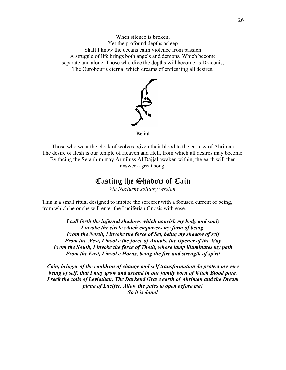When silence is broken, Yet the profound depths asleep Shall I know the oceans calm violence from passion A struggle of life brings both angels and demons, Which become separate and alone. Those who dive the depths will become as Draconis, The Ourobouris eternal which dreams of enfleshing all desires.



**Belial** 

Those who wear the cloak of wolves, given their blood to the ecstasy of Ahriman The desire of flesh is our temple of Heaven and Hell, from which all desires may become. By facing the Seraphim may Armiluss Al Dajjal awaken within, the earth will then answer a great song.

### Casting the Shadow of Cain

*Via Nocturne solitary version.* 

This is a small ritual designed to imbibe the sorcerer with a focused current of being, from which he or she will enter the Luciferian Gnosis with ease.

*I call forth the infernal shadows which nourish my body and soul; I invoke the circle which empowers my form of being, From the North, I invoke the force of Set, being my shadow of self From the West, I invoke the force of Anubis, the Opener of the Way From the South, I invoke the force of Thoth, whose lamp illuminates my path From the East, I invoke Horus, being the fire and strength of spirit* 

*Cain, bringer of the cauldron of change and self transformation do protect my very being of self, that I may grow and ascend in our family born of Witch Blood pure. I seek the coils of Leviathan, The Darkend Grave earth of Ahriman and the Dream plane of Lucifer. Allow the gates to open before me! So it is done!*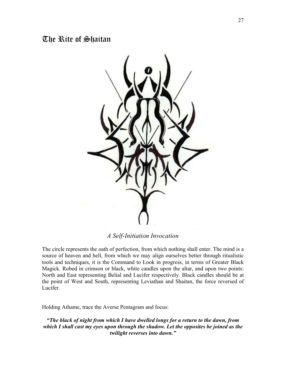### The Rite of Shaitan



### *A Self-Initiation Invocation*

The circle represents the oath of perfection, from which nothing shall enter. The mind is a source of heaven and hell, from which we may align ourselves better through ritualistic tools and techniques, it is the Command to Look in progress, in terms of Greater Black Magick. Robed in crimson or black, white candles upon the altar, and upon two points: North and East representing Belial and Lucifer respectively. Black candles should be at the point of West and South, representing Leviathan and Shaitan, the force reversed of Lucifer.

Holding Athame, trace the Averse Pentagram and focus:

*"The black of night from which I have dwelled longs for a return to the dawn, from which I shall cast my eyes upon through the shadow. Let the opposites be joined as the twilight reverses into dawn."*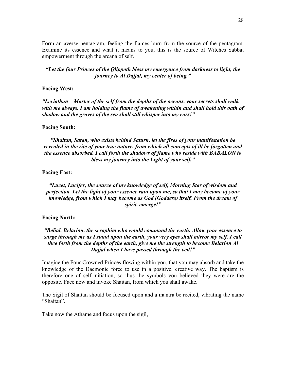Form an averse pentagram, feeling the flames burn from the source of the pentagram. Examine its essence and what it means to you, this is the source of Witches Sabbat empowerment through the arcana of self.

*"Let the four Princes of the Qlippoth bless my emergence from darkness to light, the journey to Al Dajjal, my center of being."* 

#### **Facing West:**

*"Leviathan – Master of the self from the depths of the oceans, your secrets shall walk with me always. I am holding the flame of awakening within and shall hold this oath of shadow and the graves of the sea shall still whisper into my ears!"* 

#### **Facing South:**

*"Shaitan, Satan, who exists behind Saturn, let the fires of your manifestation be revealed in the rite of your true nature, from which all concepts of ill be forgotten and the essence absorbed. I call forth the shadows of flame who reside with BABALON to bless my journey into the Light of your self."* 

#### **Facing East:**

*"Lucet, Lucifer, the source of my knowledge of self, Morning Star of wisdom and perfection. Let the light of your essence rain upon me, so that I may become of your knowledge, from which I may become as God (Goddess) itself. From the dream of spirit, emerge!"* 

#### **Facing North:**

#### *"Belial, Belarion, the seraphim who would command the earth. Allow your essence to surge through me as I stand upon the earth, your very eyes shall mirror my self. I call thee forth from the depths of the earth, give me the strength to become Belarion Al Dajjal when I have passed through the veil!"*

Imagine the Four Crowned Princes flowing within you, that you may absorb and take the knowledge of the Daemonic force to use in a positive, creative way. The baptism is therefore one of self-initiation, so thus the symbols you believed they were are the opposite. Face now and invoke Shaitan, from which you shall awake.

The Sigil of Shaitan should be focused upon and a mantra be recited, vibrating the name "Shaitan".

Take now the Athame and focus upon the sigil,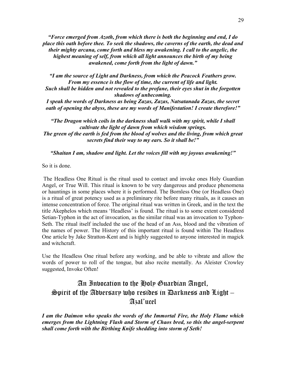*"Force emerged from Azoth, from which there is both the beginning and end, I do place this oath before thee. To seek the shadows, the caverns of the earth, the dead and their mighty arcana, come forth and bless my awakening. I call to the angelic, the highest meaning of self, from which all light announces the birth of my being awakened, come forth from the light of dawn."* 

*"I am the source of Light and Darkness, from which the Peacock Feathers grow. From my essence is the flow of time, the current of life and light. Such shall be hidden and not revealed to the profane, their eyes shut in the forgotten shadows of unbecoming.* 

*I speak the words of Darkness as being Zazas, Zazas, Natsatanada Zazas, the secret oath of opening the abyss, these are my words of Manifestation! I create therefore!"* 

*"The Dragon which coils in the darkness shall walk with my spirit, while I shall cultivate the light of dawn from which wisdom springs. The green of the earth is fed from the blood of wolves and the living, from which great secrets find their way to my ears. So it shall be!"* 

*"Shaitan I am, shadow and light. Let the voices fill with my joyous awakening!"* 

So it is done.

 The Headless One Ritual is the ritual used to contact and invoke ones Holy Guardian Angel, or True Will. This ritual is known to be very dangerous and produce phenomena or hauntings in some places where it is performed. The Bornless One (or Headless One) is a ritual of great potency used as a preliminary rite before many rituals, as it causes an intense concentration of force. The original ritual was written in Greek, and in the text the title Akephelos which means 'Headless' is found. The ritual is to some extent considered Setian-Typhon in the act of invocation, as the similar ritual was an invocation to Typhon-Seth. The ritual itself included the use of the head of an Ass, blood and the vibration of the names of power. The History of this important ritual is found within The Headless One article by Jake Stratton-Kent and is highly suggested to anyone interested in magick and witchcraft.

Use the Headless One ritual before any working, and be able to vibrate and allow the words of power to roll of the tongue, but also recite mentally. As Aleister Crowley suggested, Invoke Often!

### An Invocation to the Holy Guardian Angel, Spirit of the Adversary who resides in Darkness and Light  $-$ Azal'ucel

*I am the Daimon who speaks the words of the Immortal Fire, the Holy Flame which emerges from the Lightning Flash and Storm of Chaos bred, so this the angel-serpent shall come forth with the Birthing Knife shedding into storm of Seth!*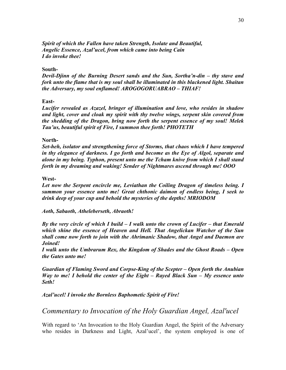*Spirit of which the Fallen have taken Strength, Isolate and Beautiful, Angelic Essence, Azal'ucel, from which came into being Cain I do invoke thee!* 

#### **South-**

*Devil-Djinn of the Burning Desert sands and the Sun, Sortha'n-din – thy stave and fork unto the flame that is my soul shall be illuminated in this blackened light. Shaitan the Adversary, my soul enflamed! AROGOGORUABRAO – THIAF!* 

#### **East-**

*Lucifer revealed as Azazel, bringer of illumination and love, who resides in shadow and light, cover and cloak my spirit with thy twelve wings, serpent skin covered from the shedding of the Dragon, bring now forth the serpent essence of my soul! Melek Tau'us, beautiful spirit of Fire, I summon thee forth! PHOTETH* 

#### **North-**

*Set-heh, isolator and strengthening force of Storms, that chaos which I have tempered in thy elegance of darkness. I go forth and become as the Eye of Algol, separate and alone in my being. Typhon, present unto me the Tcham knive from which I shall stand forth in my dreaming and waking! Sender of Nightmares ascend through me! OOO* 

#### **West-**

Let now the Serpent encircle me, Leviathan the Coiling Dragon of timeless being. I *summon your essence unto me! Great chthonic daimon of endless being, I seek to drink deep of your cup and behold the mysteries of the depths! MRIODOM* 

*Aoth, Sabaoth, Atheleberseth, Abraoth!* 

*By the very circle of which I build – I walk unto the crown of Lucifer – that Emerald which shine the essence of Heaven and Hell. That Angelickan Watcher of the Sun shall come now forth to join with the Ahrimanic Shadow, that Angel and Daemon are Joined!* 

*I walk unto the Umbrarum Rex, the Kingdom of Shades and the Ghost Roads – Open the Gates unto me!* 

*Guardian of Flaming Sword and Corpse-King of the Scepter – Open forth the Anubian Way to me! I behold the center of the Eight – Rayed Black Sun – My essence unto Seth!* 

*Azal'ucel! I invoke the Bornless Baphometic Spirit of Fire!* 

*Commentary to Invocation of the Holy Guardian Angel, Azal'ucel*

With regard to 'An Invocation to the Holy Guardian Angel, the Spirit of the Adversary who resides in Darkness and Light, Azal'ucel', the system employed is one of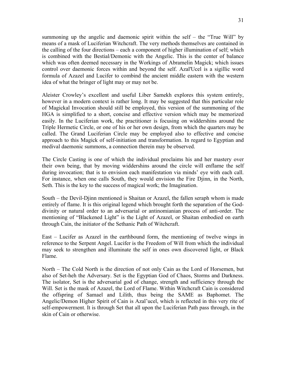summoning up the angelic and daemonic spirit within the self – the "True Will" by means of a mask of Luciferian Witchcraft. The very methods themselves are contained in the calling of the four directions – each a component of higher illumination of self; which is combined with the Bestial/Demonic with the Angelic. This is the center of balance which was often deemed necessary in the Workings of Abramelin Magick; which issues control over daemonic forces within and beyond the self. Azal'Ucel is a sigillic word formula of Azazel and Lucifer to combind the ancient middle eastern with the western idea of what the bringer of light may or may not be.

Aleister Crowley's excellent and useful Liber Samekh explores this system entirely, however in a modern context is rather long. It may be suggested that this particular role of Magickal Invocation should still be employed, this version of the summoning of the HGA is simplified to a short, concise and effective version which may be memorized easily. In the Luciferian work, the practitioner is focusing on widdershins around the Triple Hermetic Circle, or one of his or her own design, from which the quarters may be called. The Grand Luciferian Circle may be employed also to effective and concise approach to this Magick of self-initiation and transformation. In regard to Egyptian and medival daemonic summons, a connection therein may be observed.

The Circle Casting is one of which the individual proclaims his and her mastery over their own being, that by moving widdershins around the circle will enflame the self during invocation; that is to envision each manifestation via minds' eye with each call. For instance, when one calls South, they would envision the Fire Djinn, in the North, Seth. This is the key to the success of magical work; the Imagination.

South – the Devil-Djinn mentioned is Shaitan or Azazel, the fallen seraph whom is made entirely of flame. It is this original legend which brought forth the separation of the Goddivinity or natural order to an adversarial or antinomianian process of anti-order. The mentioning of "Blackened Light" is the Light of Azazel, or Shaitan embodied on earth through Cain, the initiator of the Sethanic Path of Witchcraft.

East – Lucifer as Azazel in the earthbound form, the mentioning of twelve wings in reference to the Serpent Angel. Lucifer is the Freedom of Will from which the individual may seek to strengthen and illuminate the self in ones own discovered light, or Black Flame.

North – The Cold North is the direction of not only Cain as the Lord of Horsemen, but also of Set-heh the Adversary. Set is the Egyptian God of Chaos, Storms and Darkness. The isolator, Set is the adversarial god of change, strength and sufficiency through the Will. Set is the mask of Azazel, the Lord of Flame. Within Witchcraft Cain is considered the offspring of Samael and Lilith, thus being the SAME as Baphomet. The Angelic/Demon Higher Spirit of Cain is Azal'ucel, which is reflected in this very rite of self-empowerment. It is through Set that all upon the Luciferian Path pass through, in the skin of Cain or otherwise.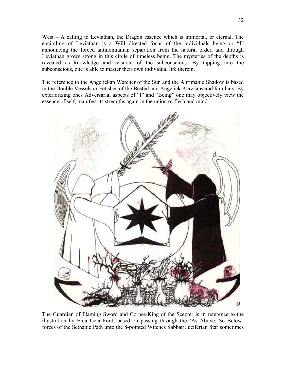West – A calling to Leviathan, the Dragon essence which is immortal, or eternal. The encircling of Leviathan is a Will directed focus of the individuals being or "I" announcing the forced antinomianian separation from the natural order, and through Leviathan grows strong in this circle of timeless being. The mysteries of the depths is revealed as knowledge and wisdom of the subconscious. By tapping into the subconscious, one is able to master their own individual life therein.

The reference to the Angelickan Watcher of the Sun and the Ahrimanic Shadow is based in the Double Vessels or Fetishes of the Bestial and Angelick Atavisms and familiars. By exteriorizing ones Adversarial aspects of "I" and "Being" one may objectively view the essence of self, manifest its strengths again in the union of flesh and mind.



The Guardian of Flaming Sword and Corpse-King of the Scepter is in reference to the illustration by Elda Isela Ford, based on passing through the 'As Above, So Below' forces of the Sethanic Path unto the 8-pointed Witches Sabbat/Luciferian Star sometimes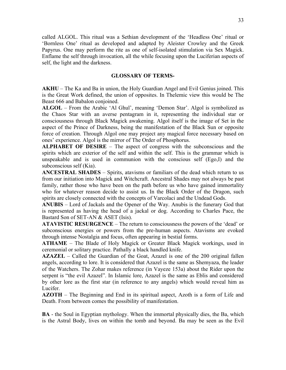called ALGOL. This ritual was a Sethian development of the 'Headless One' ritual or 'Bornless One' ritual as developed and adapted by Aleister Crowley and the Greek Papyrus. One may perform the rite as one of self-isolated stimulation via Sex Magick. Enflame the self through invocation, all the while focusing upon the Luciferian aspects of self, the light and the darkness.

#### **GLOSSARY OF TERMS-**

**AKHU** – The Ka and Ba in union, the Holy Guardian Angel and Evil Genius joined. This is the Great Work defined, the union of opposites. In Thelemic view this would be The Beast 666 and Babalon conjoined.

**ALGOL** – From the Arabic 'Al Ghul', meaning 'Demon Star'. Algol is symbolized as the Chaos Star with an averse pentagram in it, representing the individual star or consciousness through Black Magick awakening. Algol itself is the image of Set in the aspect of the Prince of Darkness, being the manifestation of the Black Sun or opposite force of creation. Through Algol one may project any magical force necessary based on ones' experience. Algol is the mirror of The Order of Phosphorus.

**ALPHABET OF DESIRE** – The aspect of congress with the subconscious and the spirits which are exterior of the self and within the self. This is the grammar which is unspeakable and is used in communion with the conscious self (Ego,I) and the subconscious self (Kia).

**ANCESTRAL SHADES** – Spirits, atavisms or familiars of the dead which return to us from our initiation into Magick and Witchcraft. Ancestral Shades may not always be past family, rather those who have been on the path before us who have gained immortality who for whatever reason decide to assist us. In the Black Order of the Dragon, such spirits are closely connected with the concepts of Varcolaci and the Undead Gods.

**ANUBIS** – Lord of Jackals and the Opener of the Way. Anubis is the funerary God that is represented as having the head of a jackal or dog. According to Charles Pace, the Bastard Son of SET-AN & ASET (Isis).

**ATAVISTIC RESURGENCE** – The return to consciousness the powers of the 'dead' or subconscious energies or powers from the pre-human aspects. Atavisms are evoked through intense Nostalgia and focus, often appearing in bestial forms.

**ATHAME** – The Blade of Holy Magick or Greater Black Magick workings, used in ceremonial or solitary practice. Pathally a black handled knife.

**AZAZEL** – Called the Guardian of the Goat, Azazel is one of the 200 original fallen angels, according to lore. It is considered that Azazel is the same as Shemyaza, the leader of the Watchers. The Zohar makes reference (in Vayeze 153a) about the Rider upon the serpent is "the evil Azazel". In Islamic lore, Azazel is the same as Eblis and considered by other lore as the first star (in reference to any angels) which would reveal him as Lucifer.

**AZOTH** – The Beginning and End in its spiritual aspect, Azoth is a form of Life and Death. From between comes the possibility of manifestation.

**BA** - the Soul in Egyptian mythology. When the immortal physically dies, the Ba, which is the Astral Body, lives on within the tomb and beyond. Ba may be seen as the Evil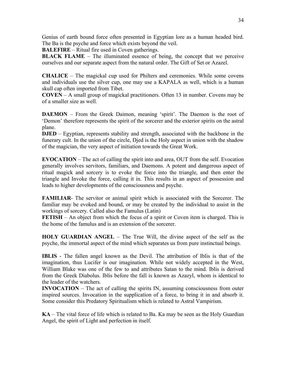Genius of earth bound force often presented in Egyptian lore as a human headed bird. The Ba is the psyche and force which exists beyond the veil.

**BALEFIRE** – Ritual fire used in Coven gatherings.

**BLACK FLAME** – The illuminated essence of being, the concept that we perceive ourselves and our separate aspect from the natural order. The Gift of Set or Azazel.

**CHALICE** – The magickal cup used for Philters and ceremonies. While some covens and individuals use the silver cup, one may use a KAPALA as well, which is a human skull cap often imported from Tibet.

**COVEN** – A small group of magickal practitioners. Often 13 in number. Covens may be of a smaller size as well.

**DAEMON** – From the Greek Daimon, meaning 'spirit'. The Daemon is the root of 'Demon' therefore represents the spirit of the sorcerer and the exterior spirits on the astral plane.

**DJED** – Egyptian, represents stability and strength, associated with the backbone in the funerary cult. In the union of the circle, Djed is the Holy aspect in union with the shadow of the magician, the very aspect of initiation towards the Great Work.

**EVOCATION** – The act of calling the spirit into and area, OUT from the self. Evocation generally involves servitors, familiars, and Daemons. A potent and dangerous aspect of ritual magick and sorcery is to evoke the force into the triangle, and then enter the triangle and Invoke the force, calling it in. This results in an aspect of possession and leads to higher developments of the consciousness and psyche.

**FAMILIAR**- The servitor or animal spirit which is associated with the Sorcerer. The familiar may be evoked and bound, or may be created by the individual to assist in the workings of sorcery. Called also the Famulus (Latin)

**FETISH** – An object from which the focus of a spirit or Coven item is charged. This is the home of the famulus and is an extension of the sorcerer.

**HOLY GUARDIAN ANGEL** – The True Will, the divine aspect of the self as the psyche, the immortal aspect of the mind which separates us from pure instinctual beings.

**IBLIS** - The fallen angel known as the Devil. The attribution of Iblis is that of the imagination, thus Lucifer is our imagination. While not widely accepted in the West, William Blake was one of the few to and attributes Satan to the mind. Iblis is derived from the Greek Diabolus. Iblis before the fall is known as Azazyl, whom is identical to the leader of the watchers.

**INVOCATION** – The act of calling the spirits IN, assuming consciousness from outer inspired sources. Invocation in the supplication of a force, to bring it in and absorb it. Some consider this Predatory Spiritualism which is related to Astral Vampirism.

**KA** – The vital force of life which is related to Ba. Ka may be seen as the Holy Guardian Angel, the spirit of Light and perfection in itself.